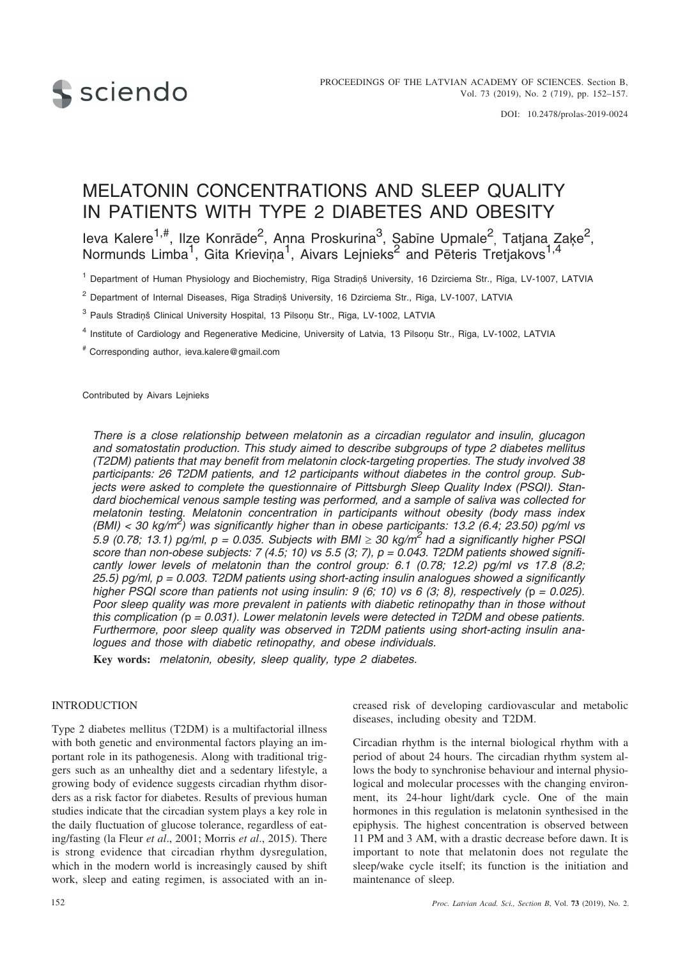

DOI: 10.2478/prolas-2019-0024

# MELATONIN CONCENTRATIONS AND SLEEP QUALITY IN PATIENTS WITH TYPE 2 DIABETES AND OBESITY

leva Kalere<sup>1,#</sup>, Ilze Konrāde<sup>2</sup>, Anna Proskurina<sup>3</sup>, Şabīne Upmale<sup>2</sup>, Tatjana Zaķe<sup>2</sup>, Normunds Limba<sup>1</sup>, Gita Krieviņa<sup>1</sup>, Aivars Lejnieks<sup>2</sup> and Pēteris Tretjakovs<sup>1,4</sup>

<sup>1</sup> Department of Human Physiology and Biochemistry, Rīga Stradiņš University, 16 Dzirciema Str., Rīga, LV-1007, LATVIA

<sup>2</sup> Department of Internal Diseases, Rīga Stradinš University, 16 Dzirciema Str., Rīga, LV-1007, LATVIA

<sup>3</sup> Pauls Stradiņš Clinical University Hospital, 13 Pilsoņu Str., Rīga, LV-1002, LATVIA

- <sup>4</sup> Institute of Cardiology and Regenerative Medicine, University of Latvia, 13 Pilsonu Str., Rīga, LV-1002, LATVIA
- # Corresponding author, ieva.kalere@gmail.com

Contributed by Aivars Leinieks

*There is a close relationship between melatonin as a circadian regulator and insulin, glucagon and somatostatin production. This study aimed to describe subgroups of type 2 diabetes mellitus (T2DM) patients that may benefit from melatonin clock-targeting properties. The study involved 38 participants: 26 T2DM patients, and 12 participants without diabetes in the control group. Subjects were asked to complete the questionnaire of Pittsburgh Sleep Quality Index (PSQI). Standard biochemical venous sample testing was performed, and a sample of saliva was collected for melatonin testing. Melatonin concentration in participants without obesity (body mass index (BMI) < 30 kg/m<sup>2</sup> ) was significantly higher than in obese participants: 13.2 (6.4; 23.50) pg/ml vs 5.9 (0.78; 13.1) pg/ml, p = 0.035. Subjects with BMI - 30 kg/m<sup>2</sup> had a significantly higher PSQI score than non-obese subjects: 7 (4.5; 10) vs 5.5 (3; 7), p = 0.043. T2DM patients showed significantly lower levels of melatonin than the control group: 6.1 (0.78; 12.2) pg/ml vs 17.8 (8.2; 25.5) pg/ml, p = 0.003. T2DM patients using short-acting insulin analogues showed a significantly higher PSQI score than patients not using insulin: 9 (6, 10) vs 6 (3; 8), respectively (p = 0.025). Poor sleep quality was more prevalent in patients with diabetic retinopathy than in those without this complication (*p *= 0.031). Lower melatonin levels were detected in T2DM and obese patients. Furthermore, poor sleep quality was observed in T2DM patients using short-acting insulin analogues and those with diabetic retinopathy, and obese individuals.*

**Key words:** *melatonin, obesity, sleep quality, type 2 diabetes.*

### **INTRODUCTION**

Type 2 diabetes mellitus (T2DM) is a multifactorial illness with both genetic and environmental factors playing an important role in its pathogenesis. Along with traditional triggers such as an unhealthy diet and a sedentary lifestyle, a growing body of evidence suggests circadian rhythm disorders as a risk factor for diabetes. Results of previous human studies indicate that the circadian system plays a key role in the daily fluctuation of glucose tolerance, regardless of eating/fasting (la Fleur *et al*., 2001; Morris *et al*., 2015). There is strong evidence that circadian rhythm dysregulation, which in the modern world is increasingly caused by shift work, sleep and eating regimen, is associated with an increased risk of developing cardiovascular and metabolic diseases, including obesity and T2DM.

Circadian rhythm is the internal biological rhythm with a period of about 24 hours. The circadian rhythm system allows the body to synchronise behaviour and internal physiological and molecular processes with the changing environment, its 24-hour light/dark cycle. One of the main hormones in this regulation is melatonin synthesised in the epiphysis. The highest concentration is observed between 11 PM and 3 AM, with a drastic decrease before dawn. It is important to note that melatonin does not regulate the sleep/wake cycle itself; its function is the initiation and maintenance of sleep.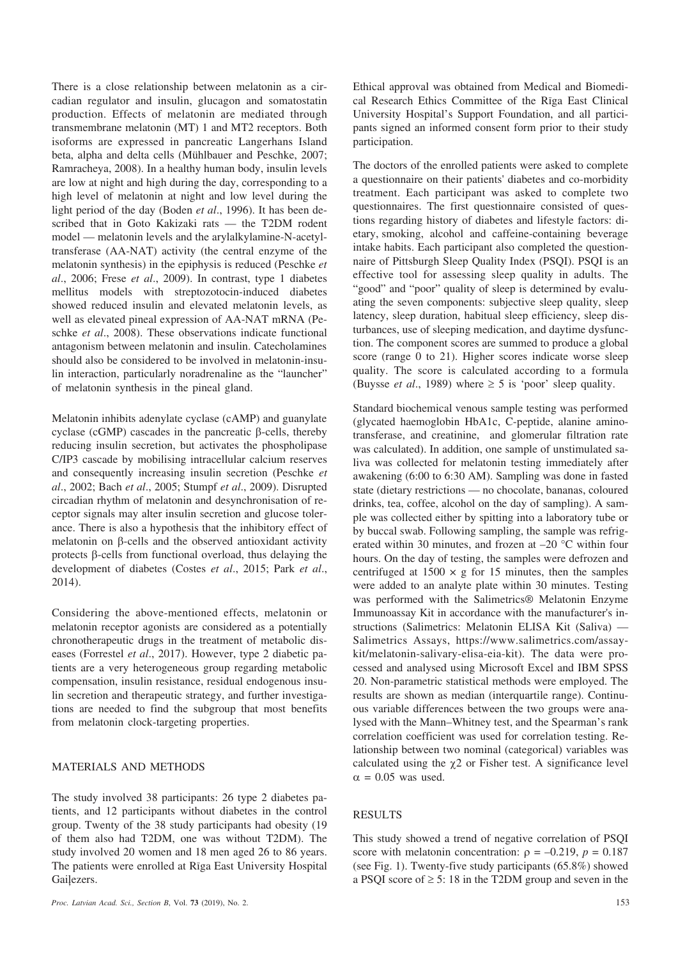There is a close relationship between melatonin as a circadian regulator and insulin, glucagon and somatostatin production. Effects of melatonin are mediated through transmembrane melatonin (MT) 1 and MT2 receptors. Both isoforms are expressed in pancreatic Langerhans Island beta, alpha and delta cells (Mühlbauer and Peschke, 2007; Ramracheya, 2008). In a healthy human body, insulin levels are low at night and high during the day, corresponding to a high level of melatonin at night and low level during the light period of the day (Boden *et al*., 1996). It has been described that in Goto Kakizaki rats — the T2DM rodent model — melatonin levels and the arylalkylamine-N-acetyltransferase (AA-NAT) activity (the central enzyme of the melatonin synthesis) in the epiphysis is reduced (Peschke *et al*., 2006; Frese *et al*., 2009). In contrast, type 1 diabetes mellitus models with streptozotocin-induced diabetes showed reduced insulin and elevated melatonin levels, as well as elevated pineal expression of AA-NAT mRNA (Peschke *et al*., 2008). These observations indicate functional antagonism between melatonin and insulin. Catecholamines should also be considered to be involved in melatonin-insulin interaction, particularly noradrenaline as the "launcher" of melatonin synthesis in the pineal gland.

Melatonin inhibits adenylate cyclase (cAMP) and guanylate cyclase (cGMP) cascades in the pancreatic  $\beta$ -cells, thereby reducing insulin secretion, but activates the phospholipase C/IP3 cascade by mobilising intracellular calcium reserves and consequently increasing insulin secretion (Peschke *et al*., 2002; Bach *et al*., 2005; Stumpf *et al*., 2009). Disrupted circadian rhythm of melatonin and desynchronisation of receptor signals may alter insulin secretion and glucose tolerance. There is also a hypothesis that the inhibitory effect of melatonin on  $\beta$ -cells and the observed antioxidant activity protects  $\beta$ -cells from functional overload, thus delaying the development of diabetes (Costes *et al*., 2015; Park *et al*., 2014).

Considering the above-mentioned effects, melatonin or melatonin receptor agonists are considered as a potentially chronotherapeutic drugs in the treatment of metabolic diseases (Forrestel *et al*., 2017). However, type 2 diabetic patients are a very heterogeneous group regarding metabolic compensation, insulin resistance, residual endogenous insulin secretion and therapeutic strategy, and further investigations are needed to find the subgroup that most benefits from melatonin clock-targeting properties.

# MATERIALS AND METHODS

The study involved 38 participants: 26 type 2 diabetes patients, and 12 participants without diabetes in the control group. Twenty of the 38 study participants had obesity (19 of them also had T2DM, one was without T2DM). The study involved 20 women and 18 men aged 26 to 86 years. The patients were enrolled at Rîga East University Hospital Gailezers.

Ethical approval was obtained from Medical and Biomedical Research Ethics Committee of the Rîga East Clinical University Hospital's Support Foundation, and all participants signed an informed consent form prior to their study participation.

The doctors of the enrolled patients were asked to complete a questionnaire on their patients' diabetes and co-morbidity treatment. Each participant was asked to complete two questionnaires. The first questionnaire consisted of questions regarding history of diabetes and lifestyle factors: dietary, smoking, alcohol and caffeine-containing beverage intake habits. Each participant also completed the questionnaire of Pittsburgh Sleep Quality Index (PSQI). PSQI is an effective tool for assessing sleep quality in adults. The "good" and "poor" quality of sleep is determined by evaluating the seven components: subjective sleep quality, sleep latency, sleep duration, habitual sleep efficiency, sleep disturbances, use of sleeping medication, and daytime dysfunction. The component scores are summed to produce a global score (range 0 to 21). Higher scores indicate worse sleep quality. The score is calculated according to a formula (Buysse *et al.*, 1989) where  $\geq 5$  is 'poor' sleep quality.

Standard biochemical venous sample testing was performed (glycated haemoglobin HbA1c, C-peptide, alanine aminotransferase, and creatinine, and glomerular filtration rate was calculated). In addition, one sample of unstimulated saliva was collected for melatonin testing immediately after awakening (6:00 to 6:30 AM). Sampling was done in fasted state (dietary restrictions — no chocolate, bananas, coloured drinks, tea, coffee, alcohol on the day of sampling). A sample was collected either by spitting into a laboratory tube or by buccal swab. Following sampling, the sample was refrigerated within 30 minutes, and frozen at –20 °C within four hours. On the day of testing, the samples were defrozen and centrifuged at  $1500 \times g$  for 15 minutes, then the samples were added to an analyte plate within 30 minutes. Testing was performed with the Salimetrics® Melatonin Enzyme Immunoassay Kit in accordance with the manufacturer's instructions (Salimetrics: Melatonin ELISA Kit (Saliva) — Salimetrics Assays, https://www.salimetrics.com/assaykit/melatonin-salivary-elisa-eia-kit). The data were processed and analysed using Microsoft Excel and IBM SPSS 20. Non-parametric statistical methods were employed. The results are shown as median (interquartile range). Continuous variable differences between the two groups were analysed with the Mann–Whitney test, and the Spearman's rank correlation coefficient was used for correlation testing. Relationship between two nominal (categorical) variables was calculated using the  $\gamma$ 2 or Fisher test. A significance level  $\alpha = 0.05$  was used.

#### RESULTS

This study showed a trend of negative correlation of PSQI score with melatonin concentration:  $\rho = -0.219$ ,  $p = 0.187$ (see Fig. 1). Twenty-five study participants (65.8%) showed a PSQI score of  $\geq$  5: 18 in the T2DM group and seven in the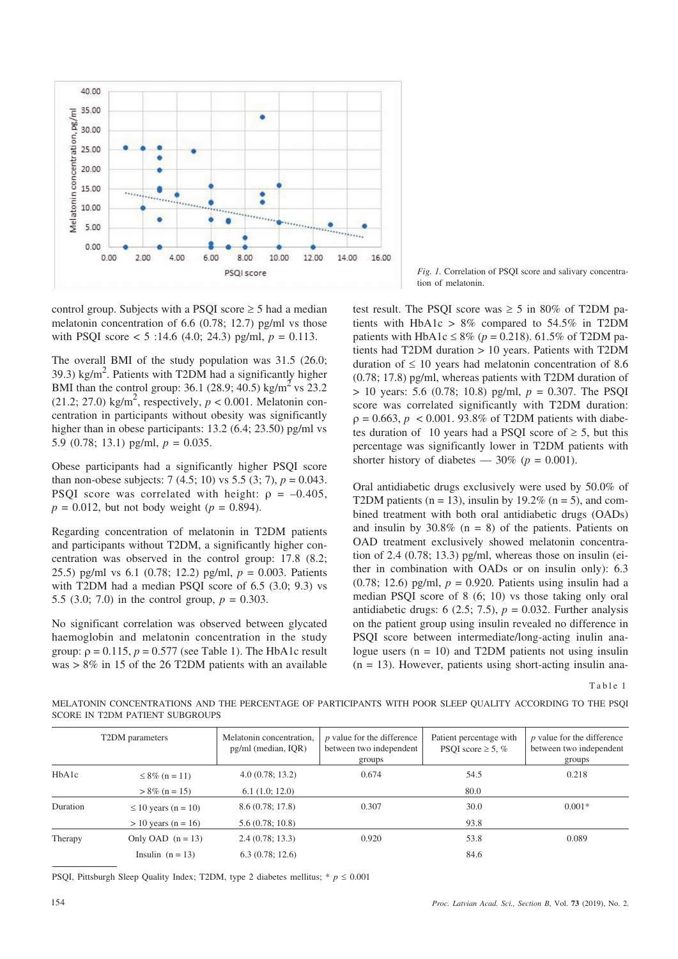

control group. Subjects with a PSQI score  $\geq 5$  had a median melatonin concentration of 6.6 (0.78; 12.7) pg/ml vs those with PSQI score  $<$  5 :14.6 (4.0; 24.3) pg/ml,  $p = 0.113$ .

The overall BMI of the study population was 31.5 (26.0; 39.3) kg/m<sup>2</sup>. Patients with T2DM had a significantly higher BMI than the control group: 36.1 (28.9; 40.5) kg/m<sup>2</sup> vs 23.2  $(21.2; 27.0)$  kg/m<sup>2</sup>, respectively,  $p < 0.001$ . Melatonin concentration in participants without obesity was significantly higher than in obese participants: 13.2 (6.4; 23.50) pg/ml vs 5.9 (0.78; 13.1) pg/ml, *p* = 0.035.

Obese participants had a significantly higher PSQI score than non-obese subjects: 7 (4.5; 10) vs 5.5 (3; 7),  $p = 0.043$ . PSQI score was correlated with height:  $\rho = -0.405$ ,  $p = 0.012$ , but not body weight ( $p = 0.894$ ).

Regarding concentration of melatonin in T2DM patients and participants without T2DM, a significantly higher concentration was observed in the control group: 17.8 (8.2; 25.5) pg/ml vs 6.1 (0.78; 12.2) pg/ml, *p* = 0.003. Patients with T2DM had a median PSQI score of 6.5 (3.0; 9.3) vs 5.5 (3.0; 7.0) in the control group,  $p = 0.303$ .

No significant correlation was observed between glycated haemoglobin and melatonin concentration in the study group:  $\rho = 0.115$ ,  $p = 0.577$  (see Table 1). The HbA1c result  $was > 8\%$  in 15 of the 26 T2DM patients with an available

*Fig. 1.* Correlation of PSQI score and salivary concentration of melatonin.

test result. The PSQI score was  $\geq 5$  in 80% of T2DM patients with HbA1c  $> 8\%$  compared to 54.5% in T2DM patients with HbA1c  $\leq 8\%$  ( $p = 0.218$ ). 61.5% of T2DM patients had T2DM duration > 10 years. Patients with T2DM duration of  $\leq 10$  years had melatonin concentration of 8.6 (0.78; 17.8) pg/ml, whereas patients with T2DM duration of > 10 years: 5.6 (0.78; 10.8) pg/ml, *p* = 0.307. The PSQI score was correlated significantly with T2DM duration:  $p = 0.663$ ,  $p < 0.001$ . 93.8% of T2DM patients with diabetes duration of 10 years had a PSQI score of  $\geq$  5, but this percentage was significantly lower in T2DM patients with shorter history of diabetes —  $30\%$  ( $p = 0.001$ ).

Oral antidiabetic drugs exclusively were used by 50.0% of T2DM patients ( $n = 13$ ), insulin by 19.2% ( $n = 5$ ), and combined treatment with both oral antidiabetic drugs (OADs) and insulin by  $30.8\%$  (n = 8) of the patients. Patients on OAD treatment exclusively showed melatonin concentration of 2.4 (0.78; 13.3) pg/ml, whereas those on insulin (either in combination with OADs or on insulin only): 6.3 (0.78; 12.6) pg/ml, *p* = 0.920. Patients using insulin had a median PSQI score of 8 (6; 10) vs those taking only oral antidiabetic drugs:  $6$  (2.5; 7.5),  $p = 0.032$ . Further analysis on the patient group using insulin revealed no difference in PSQI score between intermediate/long-acting inulin analogue users  $(n = 10)$  and T2DM patients not using insulin  $(n = 13)$ . However, patients using short-acting insulin ana-

Table 1

MELATONIN CONCENTRATIONS AND THE PERCENTAGE OF PARTICIPANTS WITH POOR SLEEP QUALITY ACCORDING TO THE PSQI SCORE IN T2DM PATIENT SUBGROUPS

|          | T2DM parameters          | Melatonin concentration,<br>pg/ml (median, IQR) | <i>p</i> value for the difference<br>between two independent<br>groups | Patient percentage with<br>PSOI score $\geq$ 5, % | <i>p</i> value for the difference<br>between two independent<br>groups |
|----------|--------------------------|-------------------------------------------------|------------------------------------------------------------------------|---------------------------------------------------|------------------------------------------------------------------------|
| HbA1c    | $\leq 8\%$ (n = 11)      | 4.0(0.78; 13.2)                                 | 0.674                                                                  | 54.5                                              | 0.218                                                                  |
|          | $> 8\%$ (n = 15)         | 6.1(1.0; 12.0)                                  |                                                                        | 80.0                                              |                                                                        |
| Duration | $\leq 10$ years (n = 10) | 8.6(0.78; 17.8)                                 | 0.307                                                                  | 30.0                                              | $0.001*$                                                               |
|          | $> 10$ years (n = 16)    | 5.6(0.78; 10.8)                                 |                                                                        | 93.8                                              |                                                                        |
| Therapy  | Only OAD $(n = 13)$      | 2.4(0.78; 13.3)                                 | 0.920                                                                  | 53.8                                              | 0.089                                                                  |
|          | Insulin $(n = 13)$       | 6.3(0.78; 12.6)                                 |                                                                        | 84.6                                              |                                                                        |

PSQI, Pittsburgh Sleep Quality Index; T2DM, type 2 diabetes mellitus;  $*$   $p \le 0.001$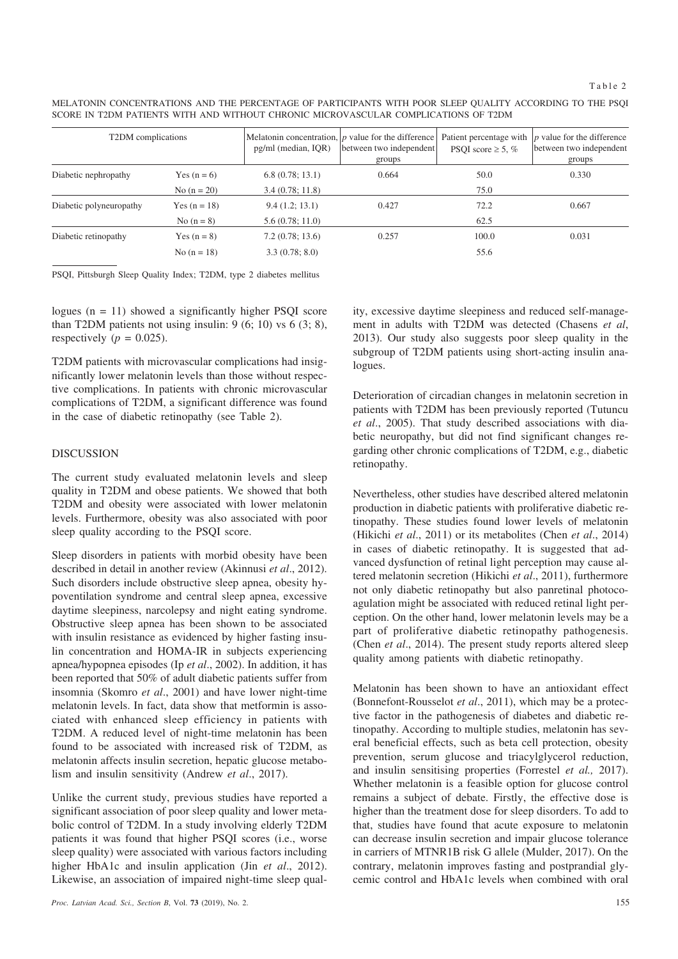MELATONIN CONCENTRATIONS AND THE PERCENTAGE OF PARTICIPANTS WITH POOR SLEEP QUALITY ACCORDING TO THE PSQI SCORE IN T2DM PATIENTS WITH AND WITHOUT CHRONIC MICROVASCULAR COMPLICATIONS OF T2DM

| T2DM complications      |                | pg/ml (median, IQR) | Melatonin concentration, $ p \rangle$ value for the difference<br>between two independent<br>groups | Patient percentage with<br>PSQI score $\geq$ 5, % | $ p\rangle$ value for the difference<br>between two independent<br>groups |
|-------------------------|----------------|---------------------|-----------------------------------------------------------------------------------------------------|---------------------------------------------------|---------------------------------------------------------------------------|
| Diabetic nephropathy    | Yes $(n = 6)$  | 6.8(0.78; 13.1)     | 0.664                                                                                               | 50.0                                              | 0.330                                                                     |
|                         | No $(n = 20)$  | 3.4(0.78; 11.8)     |                                                                                                     | 75.0                                              |                                                                           |
| Diabetic polyneuropathy | Yes $(n = 18)$ | 9.4(1.2; 13.1)      | 0.427                                                                                               | 72.2                                              | 0.667                                                                     |
|                         | No $(n = 8)$   | 5.6(0.78; 11.0)     |                                                                                                     | 62.5                                              |                                                                           |
| Diabetic retinopathy    | Yes $(n = 8)$  | 7.2(0.78; 13.6)     | 0.257                                                                                               | 100.0                                             | 0.031                                                                     |
|                         | No $(n = 18)$  | 3.3(0.78; 8.0)      |                                                                                                     | 55.6                                              |                                                                           |

PSQI, Pittsburgh Sleep Quality Index; T2DM, type 2 diabetes mellitus

logues  $(n = 11)$  showed a significantly higher PSQI score than T2DM patients not using insulin:  $9(6; 10)$  vs  $6(3; 8)$ , respectively ( $p = 0.025$ ).

T2DM patients with microvascular complications had insignificantly lower melatonin levels than those without respective complications. In patients with chronic microvascular complications of T2DM, a significant difference was found in the case of diabetic retinopathy (see Table 2).

## DISCUSSION

The current study evaluated melatonin levels and sleep quality in T2DM and obese patients. We showed that both T2DM and obesity were associated with lower melatonin levels. Furthermore, obesity was also associated with poor sleep quality according to the PSQI score.

Sleep disorders in patients with morbid obesity have been described in detail in another review (Akinnusi *et al*., 2012). Such disorders include obstructive sleep apnea, obesity hypoventilation syndrome and central sleep apnea, excessive daytime sleepiness, narcolepsy and night eating syndrome. Obstructive sleep apnea has been shown to be associated with insulin resistance as evidenced by higher fasting insulin concentration and HOMA-IR in subjects experiencing apnea/hypopnea episodes (Ip *et al*., 2002). In addition, it has been reported that 50% of adult diabetic patients suffer from insomnia (Skomro *et al*., 2001) and have lower night-time melatonin levels. In fact, data show that metformin is associated with enhanced sleep efficiency in patients with T2DM. A reduced level of night-time melatonin has been found to be associated with increased risk of T2DM, as melatonin affects insulin secretion, hepatic glucose metabolism and insulin sensitivity (Andrew *et al*., 2017).

Unlike the current study, previous studies have reported a significant association of poor sleep quality and lower metabolic control of T2DM. In a study involving elderly T2DM patients it was found that higher PSQI scores (i.e., worse sleep quality) were associated with various factors including higher HbA1c and insulin application (Jin *et al*., 2012). Likewise, an association of impaired night-time sleep quality, excessive daytime sleepiness and reduced self-management in adults with T2DM was detected (Chasens *et al*, 2013). Our study also suggests poor sleep quality in the subgroup of T2DM patients using short-acting insulin analogues.

Deterioration of circadian changes in melatonin secretion in patients with T2DM has been previously reported (Tutuncu *et al*., 2005). That study described associations with diabetic neuropathy, but did not find significant changes regarding other chronic complications of T2DM, e.g., diabetic retinopathy.

Nevertheless, other studies have described altered melatonin production in diabetic patients with proliferative diabetic retinopathy. These studies found lower levels of melatonin (Hikichi *et al*., 2011) or its metabolites (Chen *et al*., 2014) in cases of diabetic retinopathy. It is suggested that advanced dysfunction of retinal light perception may cause altered melatonin secretion (Hikichi *et al*., 2011), furthermore not only diabetic retinopathy but also panretinal photocoagulation might be associated with reduced retinal light perception. On the other hand, lower melatonin levels may be a part of proliferative diabetic retinopathy pathogenesis. (Chen *et al*., 2014). The present study reports altered sleep quality among patients with diabetic retinopathy.

Melatonin has been shown to have an antioxidant effect (Bonnefont-Rousselot *et al*., 2011), which may be a protective factor in the pathogenesis of diabetes and diabetic retinopathy. According to multiple studies, melatonin has several beneficial effects, such as beta cell protection, obesity prevention, serum glucose and triacylglycerol reduction, and insulin sensitising properties (Forrestel *et al.,* 2017). Whether melatonin is a feasible option for glucose control remains a subject of debate. Firstly, the effective dose is higher than the treatment dose for sleep disorders. To add to that, studies have found that acute exposure to melatonin can decrease insulin secretion and impair glucose tolerance in carriers of MTNR1B risk G allele (Mulder, 2017). On the contrary, melatonin improves fasting and postprandial glycemic control and HbA1c levels when combined with oral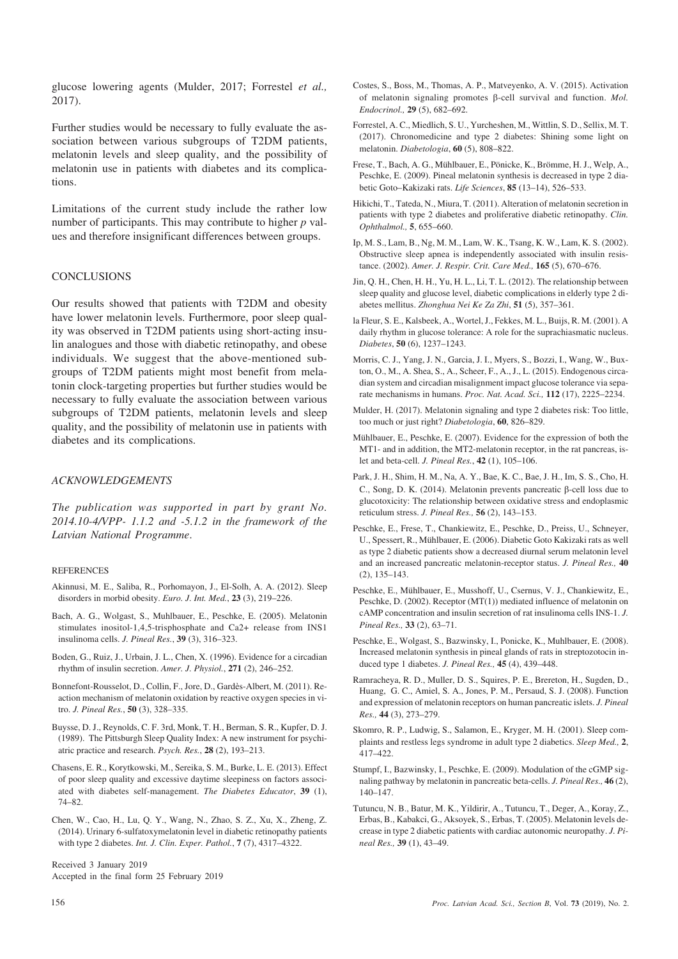glucose lowering agents (Mulder, 2017; Forrestel *et al.,* 2017).

Further studies would be necessary to fully evaluate the association between various subgroups of T2DM patients, melatonin levels and sleep quality, and the possibility of melatonin use in patients with diabetes and its complications.

Limitations of the current study include the rather low number of participants. This may contribute to higher *p* values and therefore insignificant differences between groups.

#### **CONCLUSIONS**

Our results showed that patients with T2DM and obesity have lower melatonin levels. Furthermore, poor sleep quality was observed in T2DM patients using short-acting insulin analogues and those with diabetic retinopathy, and obese individuals. We suggest that the above-mentioned subgroups of T2DM patients might most benefit from melatonin clock-targeting properties but further studies would be necessary to fully evaluate the association between various subgroups of T2DM patients, melatonin levels and sleep quality, and the possibility of melatonin use in patients with diabetes and its complications.

# *ACKNOWLEDGEMENTS*

*The publication was supported in part by grant No. 2014.10-4/VPP- 1.1.2 and -5.1.2 in the framework of the Latvian National Programme*.

#### **REFERENCES**

- Akinnusi, M. E., Saliba, R., Porhomayon, J., El-Solh, A. A. (2012). Sleep disorders in morbid obesity. *Euro. J. Int. Med.*, **23** (3), 219–226.
- Bach, A. G., Wolgast, S., Muhlbauer, E., Peschke, E. (2005). Melatonin stimulates inositol-1,4,5-trisphosphate and Ca2+ release from INS1 insulinoma cells. *J. Pineal Res.*, **39** (3), 316–323.
- Boden, G., Ruiz, J., Urbain, J. L., Chen, X. (1996). Evidence for a circadian rhythm of insulin secretion. *Amer. J. Physiol.*, **271** (2), 246–252.
- Bonnefont-Rousselot, D., Collin, F., Jore, D., Gardès-Albert, M. (2011). Reaction mechanism of melatonin oxidation by reactive oxygen species in vitro. *J. Pineal Res.*, **50** (3), 328–335.
- Buysse, D. J., Reynolds, C. F. 3rd, Monk, T. H., Berman, S. R., Kupfer, D. J. (1989). The Pittsburgh Sleep Quality Index: A new instrument for psychiatric practice and research. *Psych. Res.*, **28** (2), 193–213.
- Chasens, E. R., Korytkowski, M., Sereika, S. M., Burke, L. E. (2013). Effect of poor sleep quality and excessive daytime sleepiness on factors associated with diabetes self-management. *The Diabetes Educator*, **39** (1), 74–82.
- Chen, W., Cao, H., Lu, Q. Y., Wang, N., Zhao, S. Z., Xu, X., Zheng, Z. (2014). Urinary 6-sulfatoxymelatonin level in diabetic retinopathy patients with type 2 diabetes. *Int. J. Clin. Exper. Pathol.*, **7** (7), 4317–4322.

Received 3 January 2019 Accepted in the final form 25 February 2019

- Costes, S., Boss, M., Thomas, A. P., Matveyenko, A. V. (2015). Activation of melatonin signaling promotes  $\beta$ -cell survival and function. *Mol. Endocrinol.,* **29** (5), 682–692.
- Forrestel, A. C., Miedlich, S. U., Yurcheshen, M., Wittlin, S. D., Sellix, M. T. (2017). Chronomedicine and type 2 diabetes: Shining some light on melatonin. *Diabetologia*, **60** (5), 808–822.
- Frese, T., Bach, A. G., Mühlbauer, E., Pönicke, K., Brömme, H. J., Welp, A., Peschke, E. (2009). Pineal melatonin synthesis is decreased in type 2 diabetic Goto–Kakizaki rats. *Life Sciences*, **85** (13–14), 526–533.
- Hikichi, T., Tateda, N., Miura, T. (2011). Alteration of melatonin secretion in patients with type 2 diabetes and proliferative diabetic retinopathy. *Clin. Ophthalmol.,* **5**, 655–660.
- Ip, M. S., Lam, B., Ng, M. M., Lam, W. K., Tsang, K. W., Lam, K. S. (2002). Obstructive sleep apnea is independently associated with insulin resistance. (2002). *Amer. J. Respir. Crit. Care Med.,* **165** (5), 670–676.
- Jin, Q. H., Chen, H. H., Yu, H. L., Li, T. L. (2012). The relationship between sleep quality and glucose level, diabetic complications in elderly type 2 diabetes mellitus. *Zhonghua Nei Ke Za Zhi*, **51** (5), 357–361.
- la Fleur, S. E., Kalsbeek, A., Wortel, J., Fekkes, M. L., Buijs, R. M. (2001). A daily rhythm in glucose tolerance: A role for the suprachiasmatic nucleus. *Diabetes*, **50** (6), 1237–1243.
- Morris, C. J., Yang, J. N., Garcia, J. I., Myers, S., Bozzi, I., Wang, W., Buxton, O., M., A. Shea, S., A., Scheer, F., A., J., L. (2015). Endogenous circadian system and circadian misalignment impact glucose tolerance via separate mechanisms in humans. *Proc. Nat. Acad. Sci.,* **112** (17), 2225–2234.
- Mulder, H. (2017). Melatonin signaling and type 2 diabetes risk: Too little, too much or just right? *Diabetologia*, **60**, 826–829.
- Mühlbauer, E., Peschke, E. (2007). Evidence for the expression of both the MT1- and in addition, the MT2-melatonin receptor, in the rat pancreas, islet and beta-cell. *J. Pineal Res.*, **42** (1), 105–106.
- Park, J. H., Shim, H. M., Na, A. Y., Bae, K. C., Bae, J. H., Im, S. S., Cho, H. C., Song, D. K. (2014). Melatonin prevents pancreatic  $\beta$ -cell loss due to glucotoxicity: The relationship between oxidative stress and endoplasmic reticulum stress. *J. Pineal Res.,* **56** (2), 143–153.
- Peschke, E., Frese, T., Chankiewitz, E., Peschke, D., Preiss, U., Schneyer, U., Spessert, R., Mühlbauer, E. (2006). Diabetic Goto Kakizaki rats as well as type 2 diabetic patients show a decreased diurnal serum melatonin level and an increased pancreatic melatonin-receptor status. *J. Pineal Res.,* **40** (2), 135–143.
- Peschke, E., Mühlbauer, E., Musshoff, U., Csernus, V. J., Chankiewitz, E., Peschke, D. (2002). Receptor (MT(1)) mediated influence of melatonin on cAMP concentration and insulin secretion of rat insulinoma cells INS-1. *J. Pineal Res.,* **33** (2), 63–71.
- Peschke, E., Wolgast, S., Bazwinsky, I., Ponicke, K., Muhlbauer, E. (2008). Increased melatonin synthesis in pineal glands of rats in streptozotocin induced type 1 diabetes. *J. Pineal Res.,* **45** (4), 439–448.
- Ramracheya, R. D., Muller, D. S., Squires, P. E., Brereton, H., Sugden, D., Huang, G. C., Amiel, S. A., Jones, P. M., Persaud, S. J. (2008). Function and expression of melatonin receptors on human pancreatic islets. *J. Pineal Res.,* **44** (3), 273–279.
- Skomro, R. P., Ludwig, S., Salamon, E., Kryger, M. H. (2001). Sleep complaints and restless legs syndrome in adult type 2 diabetics. *Sleep Med.,* **2**, 417–422.
- Stumpf, I., Bazwinsky, I., Peschke, E. (2009). Modulation of the cGMP signaling pathway by melatonin in pancreatic beta-cells. *J. Pineal Res.,* **46** (2), 140–147.
- Tutuncu, N. B., Batur, M. K., Yildirir, A., Tutuncu, T., Deger, A., Koray, Z., Erbas, B., Kabakci, G., Aksoyek, S., Erbas, T. (2005). Melatonin levels decrease in type 2 diabetic patients with cardiac autonomic neuropathy. *J. Pineal Res.,* **39** (1), 43–49.